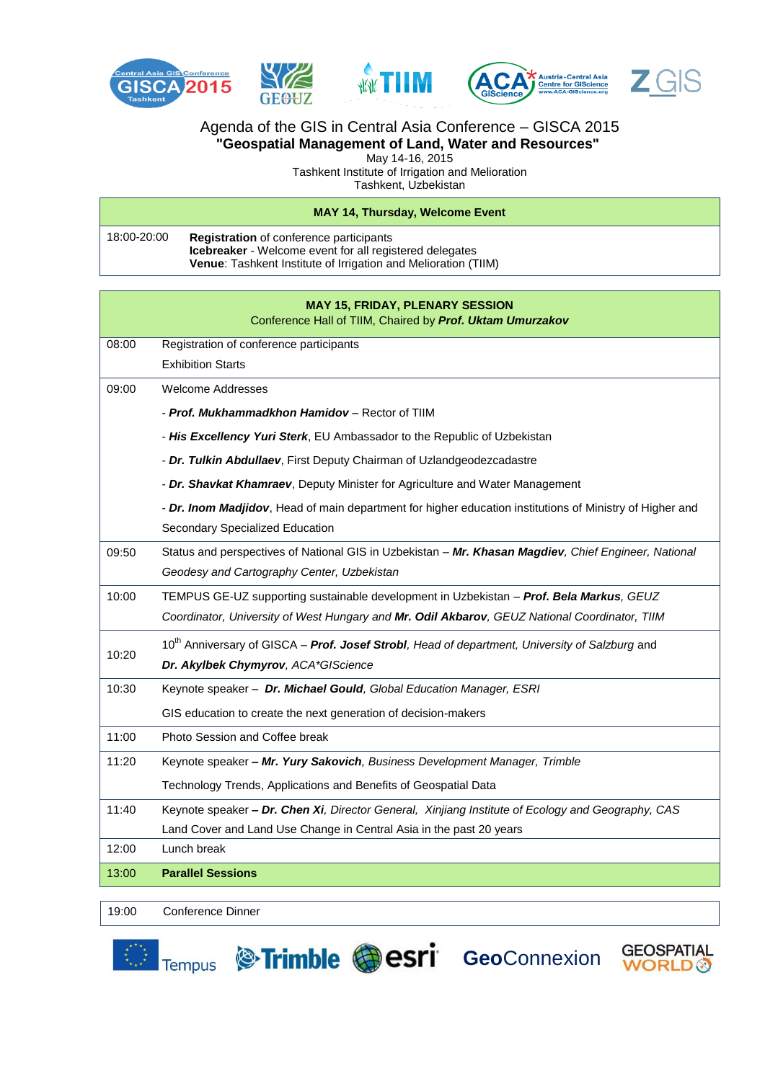

## Agenda of the GIS in Central Asia Conference – GISCA 2015 **"Geospatial Management of Land, Water and Resources"**

May 14-16, 2015

Tashkent Institute of Irrigation and Melioration

Tashkent, Uzbekistan

#### **MAY 14, Thursday, Welcome Event**

| 18:00-20:00 | <b>Registration</b> of conference participants                        |
|-------------|-----------------------------------------------------------------------|
|             | <b>Icebreaker</b> - Welcome event for all registered delegates        |
|             | <b>Venue:</b> Tashkent Institute of Irrigation and Melioration (TIIM) |

|       | <b>MAY 15, FRIDAY, PLENARY SESSION</b><br>Conference Hall of TIIM, Chaired by Prof. Uktam Umurzakov        |
|-------|------------------------------------------------------------------------------------------------------------|
| 08:00 | Registration of conference participants                                                                    |
|       | <b>Exhibition Starts</b>                                                                                   |
| 09:00 | Welcome Addresses                                                                                          |
|       | - Prof. Mukhammadkhon Hamidov – Rector of TIIM                                                             |
|       | - His Excellency Yuri Sterk, EU Ambassador to the Republic of Uzbekistan                                   |
|       | - Dr. Tulkin Abdullaev, First Deputy Chairman of Uzlandgeodezcadastre                                      |
|       | - Dr. Shavkat Khamraev, Deputy Minister for Agriculture and Water Management                               |
|       | - Dr. Inom Madjidov, Head of main department for higher education institutions of Ministry of Higher and   |
|       | Secondary Specialized Education                                                                            |
| 09:50 | Status and perspectives of National GIS in Uzbekistan - Mr. Khasan Magdiev, Chief Engineer, National       |
|       | Geodesy and Cartography Center, Uzbekistan                                                                 |
| 10:00 | TEMPUS GE-UZ supporting sustainable development in Uzbekistan - Prof. Bela Markus, GEUZ                    |
|       | Coordinator, University of West Hungary and Mr. Odil Akbarov, GEUZ National Coordinator, TIIM              |
| 10:20 | 10 <sup>th</sup> Anniversary of GISCA - Prof. Josef Strobl, Head of department, University of Salzburg and |
|       | Dr. Akylbek Chymyrov, ACA*GIScience                                                                        |
| 10:30 | Keynote speaker - Dr. Michael Gould, Global Education Manager, ESRI                                        |
|       | GIS education to create the next generation of decision-makers                                             |
| 11:00 | Photo Session and Coffee break                                                                             |
| 11:20 | Keynote speaker - Mr. Yury Sakovich, Business Development Manager, Trimble                                 |
|       | Technology Trends, Applications and Benefits of Geospatial Data                                            |
| 11:40 | Keynote speaker - Dr. Chen Xi, Director General, Xinjiang Institute of Ecology and Geography, CAS          |
|       | Land Cover and Land Use Change in Central Asia in the past 20 years                                        |
| 12:00 | Lunch break                                                                                                |
| 13:00 | <b>Parallel Sessions</b>                                                                                   |

**GEOSPATIAL WORLD** 

19:00 Conference Dinner



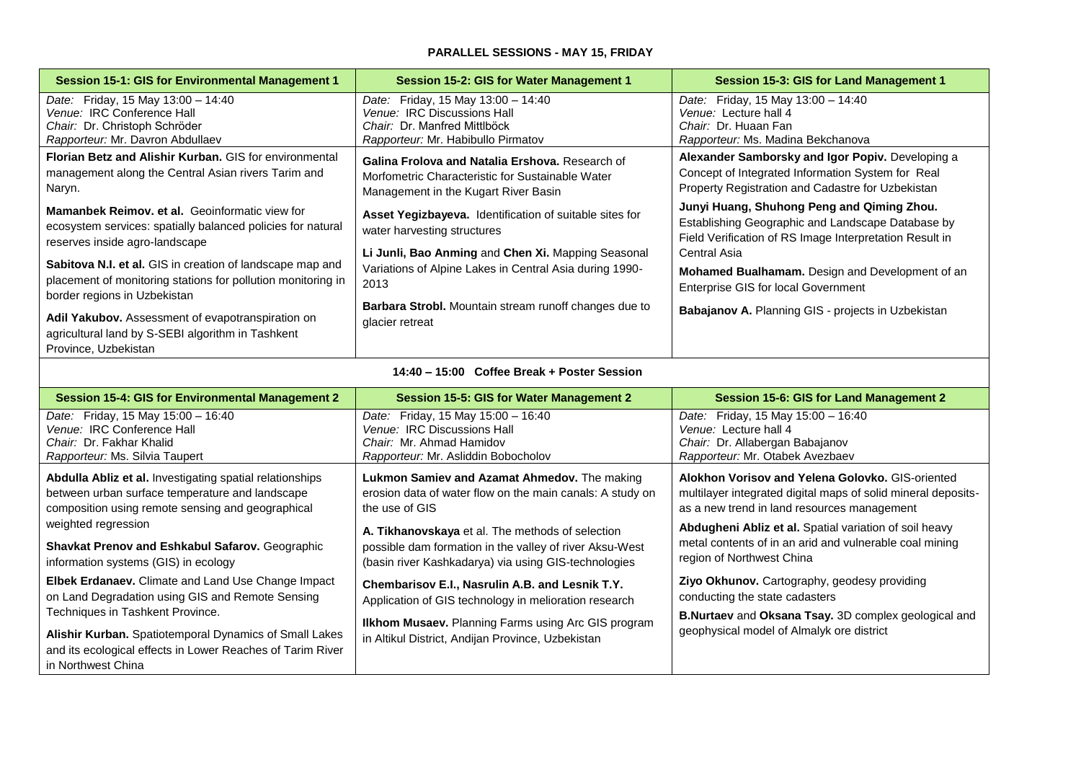### **PARALLEL SESSIONS - MAY 15, FRIDAY**

| Session 15-1: GIS for Environmental Management 1                                                                                                          | Session 15-2: GIS for Water Management 1                                                                                                            | Session 15-3: GIS for Land Management 1                                                                                                                                    |
|-----------------------------------------------------------------------------------------------------------------------------------------------------------|-----------------------------------------------------------------------------------------------------------------------------------------------------|----------------------------------------------------------------------------------------------------------------------------------------------------------------------------|
| Date: Friday, 15 May $13:00 - 14:40$<br>Venue: IRC Conference Hall<br>Chair: Dr. Christoph Schröder<br>Rapporteur: Mr. Davron Abdullaev                   | Friday, 15 May 13:00 - 14:40<br>Date:<br>Venue: IRC Discussions Hall<br>Chair: Dr. Manfred Mittlböck<br>Rapporteur: Mr. Habibullo Pirmatov          | Date: Friday, 15 May $13:00 - 14:40$<br>Venue: Lecture hall 4<br>Chair: Dr. Huaan Fan<br>Rapporteur: Ms. Madina Bekchanova                                                 |
| <b>Florian Betz and Alishir Kurban. GIS for environmental</b><br>management along the Central Asian rivers Tarim and<br>Naryn.                            | Galina Frolova and Natalia Ershova, Research of<br>Morfometric Characteristic for Sustainable Water<br>Management in the Kugart River Basin         | Alexander Samborsky and Igor Popiv. Developing a<br>Concept of Integrated Information System for Real<br>Property Registration and Cadastre for Uzbekistan                 |
| <b>Mamanbek Reimov, et al.</b> Geoinformatic view for<br>ecosystem services: spatially balanced policies for natural<br>reserves inside agro-landscape    | <b>Asset Yegizbayeva.</b> Identification of suitable sites for<br>water harvesting structures<br>Li Junli, Bao Anming and Chen Xi. Mapping Seasonal | Junyi Huang, Shuhong Peng and Qiming Zhou.<br>Establishing Geographic and Landscape Database by<br>Field Verification of RS Image Interpretation Result in<br>Central Asia |
| Sabitova N.I. et al. GIS in creation of landscape map and<br>placement of monitoring stations for pollution monitoring in<br>border regions in Uzbekistan | Variations of Alpine Lakes in Central Asia during 1990-<br>2013                                                                                     | <b>Mohamed Bualhamam.</b> Design and Development of an<br>Enterprise GIS for local Government                                                                              |
| <b>Adil Yakubov.</b> Assessment of evapotranspiration on<br>agricultural land by S-SEBI algorithm in Tashkent<br>Province, Uzbekistan                     | Barbara Strobl. Mountain stream runoff changes due to<br>glacier retreat                                                                            | Babajanov A. Planning GIS - projects in Uzbekistan                                                                                                                         |

|  | 14:40 – 15:00 Coffee Break + Poster Session |
|--|---------------------------------------------|
|--|---------------------------------------------|

| <b>Session 15-4: GIS for Environmental Management 2</b>                                                                                                          | Session 15-5: GIS for Water Management 2                                                                                                                                                                             | Session 15-6: GIS for Land Management 2                                                                                                                          |
|------------------------------------------------------------------------------------------------------------------------------------------------------------------|----------------------------------------------------------------------------------------------------------------------------------------------------------------------------------------------------------------------|------------------------------------------------------------------------------------------------------------------------------------------------------------------|
| <i>Date:</i> Friday, 15 May $15:00 - 16:40$<br>Venue: IRC Conference Hall<br>Chair: Dr. Fakhar Khalid<br>Rapporteur: Ms. Silvia Taupert                          | Friday, 15 May 15:00 - 16:40<br>Date:<br>Venue: IRC Discussions Hall<br>Chair: Mr. Ahmad Hamidov<br>Rapporteur: Mr. Asliddin Bobocholov                                                                              | <i>Date:</i> Friday, 15 May $15:00 - 16:40$<br>Venue: Lecture hall 4<br>Chair: Dr. Allabergan Babajanov<br>Rapporteur: Mr. Otabek Avezbaev                       |
| Abdulla Abliz et al. Investigating spatial relationships<br>between urban surface temperature and landscape<br>composition using remote sensing and geographical | Lukmon Samiev and Azamat Ahmedov. The making<br>erosion data of water flow on the main canals: A study on<br>the use of GIS                                                                                          | Alokhon Vorisov and Yelena Golovko, GIS-oriented<br>multilayer integrated digital maps of solid mineral deposits-<br>as a new trend in land resources management |
| weighted regression<br><b>Shavkat Prenov and Eshkabul Safarov. Geographic</b><br>information systems (GIS) in ecology                                            | A. Tikhanovskaya et al. The methods of selection<br>possible dam formation in the valley of river Aksu-West<br>(basin river Kashkadarya) via using GIS-technologies                                                  | Abdugheni Abliz et al. Spatial variation of soil heavy<br>metal contents of in an arid and vulnerable coal mining<br>region of Northwest China                   |
| <b>Elbek Erdanaev.</b> Climate and Land Use Change Impact<br>on Land Degradation using GIS and Remote Sensing<br>Techniques in Tashkent Province.                | Chembarisov E.I., Nasrulin A.B. and Lesnik T.Y.<br>Application of GIS technology in melioration research<br>Ilkhom Musaev. Planning Farms using Arc GIS program<br>in Altikul District, Andijan Province, Uzbekistan | <b>Ziyo Okhunov.</b> Cartography, geodesy providing<br>conducting the state cadasters<br><b>B.Nurtaev</b> and <b>Oksana Tsay.</b> 3D complex geological and      |
| Alishir Kurban. Spatiotemporal Dynamics of Small Lakes<br>and its ecological effects in Lower Reaches of Tarim River<br>in Northwest China                       |                                                                                                                                                                                                                      | geophysical model of Almalyk ore district                                                                                                                        |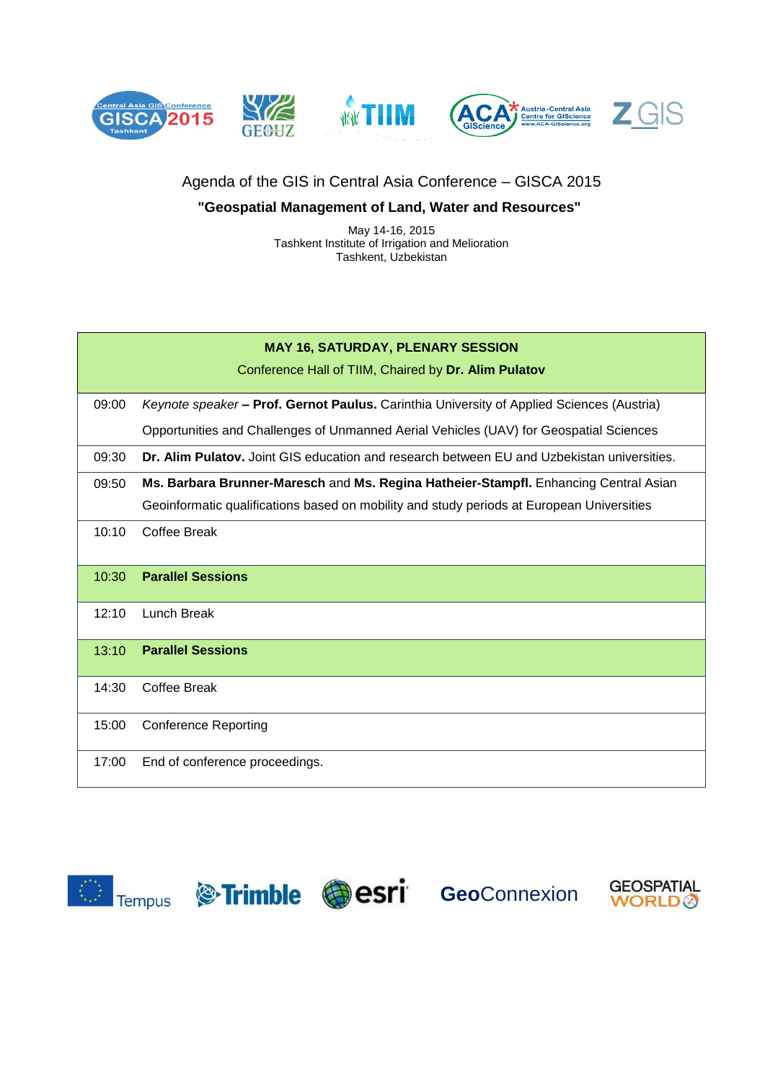

# Agenda of the GIS in Central Asia Conference – GISCA 2015

## **"Geospatial Management of Land, Water and Resources"**

May 14-16, 2015 Tashkent Institute of Irrigation and Melioration Tashkent, Uzbekistan

### **MAY 16, SATURDAY, PLENARY SESSION**

Conference Hall of TIIM, Chaired by **Dr. Alim Pulatov**

09:00 *Keynote speaker –* **Prof. Gernot Paulus.** Carinthia University of Applied Sciences (Austria)

Opportunities and Challenges of Unmanned Aerial Vehicles (UAV) for Geospatial Sciences

09:30 **Dr. Alim Pulatov.** Joint GIS education and research between EU and Uzbekistan universities.

09:50 **Ms. Barbara Brunner-Maresch** and **Ms. Regina Hatheier-Stampfl.** Enhancing Central Asian Geoinformatic qualifications based on mobility and study periods at European Universities

10:10 Coffee Break

## 10:30 **Parallel Sessions**

- 12:10 Lunch Break
- 13:10 **Parallel Sessions**
- 14:30 Coffee Break
- 15:00 Conference Reporting
- 17:00 End of conference proceedings.







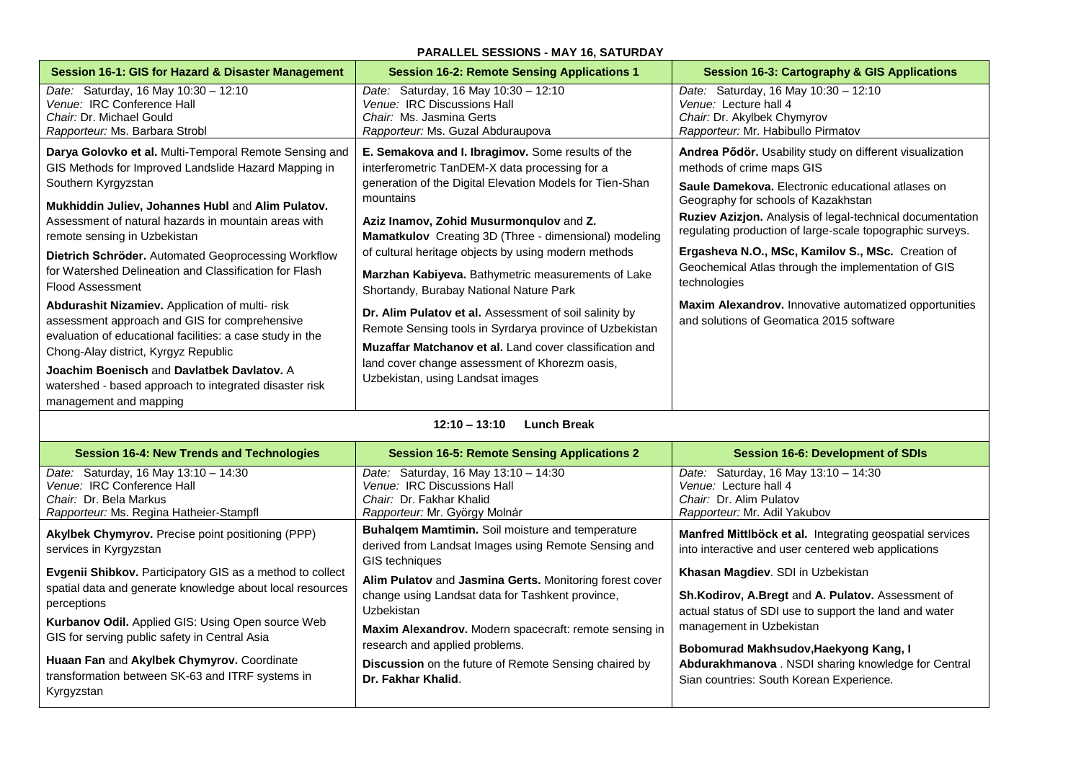#### **PARALLEL SESSIONS - MAY 16, SATURDAY**

| Session 16-1: GIS for Hazard & Disaster Management                                                   | <b>Session 16-2: Remote Sensing Applications 1</b>                                                                | Session 16-3: Cartography & GIS Applications                                                                           |
|------------------------------------------------------------------------------------------------------|-------------------------------------------------------------------------------------------------------------------|------------------------------------------------------------------------------------------------------------------------|
| Date: Saturday, 16 May 10:30 - 12:10<br>Venue: IRC Conference Hall                                   | Date: Saturday, 16 May 10:30 - 12:10<br>Venue: IRC Discussions Hall                                               | Date: Saturday, 16 May 10:30 - 12:10<br>Venue: Lecture hall 4                                                          |
| Chair: Dr. Michael Gould                                                                             | Chair: Ms. Jasmina Gerts                                                                                          | Chair: Dr. Akylbek Chymyrov                                                                                            |
| Rapporteur: Ms. Barbara Strobl                                                                       | Rapporteur: Ms. Guzal Abduraupova                                                                                 | Rapporteur: Mr. Habibullo Pirmatov                                                                                     |
| Darya Golovko et al. Multi-Temporal Remote Sensing and                                               | E. Semakova and I. Ibragimov. Some results of the                                                                 | Andrea Pődör. Usability study on different visualization                                                               |
| GIS Methods for Improved Landslide Hazard Mapping in                                                 | interferometric TanDEM-X data processing for a                                                                    | methods of crime maps GIS                                                                                              |
| Southern Kyrgyzstan                                                                                  | generation of the Digital Elevation Models for Tien-Shan                                                          | Saule Damekova. Electronic educational atlases on                                                                      |
| Mukhiddin Juliev, Johannes Hubl and Alim Pulatov.                                                    | mountains                                                                                                         | Geography for schools of Kazakhstan                                                                                    |
| Assessment of natural hazards in mountain areas with<br>remote sensing in Uzbekistan                 | Aziz Inamov, Zohid Musurmongulov and Z.<br>Mamatkulov Creating 3D (Three - dimensional) modeling                  | Ruziev Azizjon. Analysis of legal-technical documentation<br>regulating production of large-scale topographic surveys. |
| Dietrich Schröder. Automated Geoprocessing Workflow                                                  | of cultural heritage objects by using modern methods                                                              | Ergasheva N.O., MSc, Kamilov S., MSc. Creation of                                                                      |
| for Watershed Delineation and Classification for Flash                                               | Marzhan Kabiyeva. Bathymetric measurements of Lake                                                                | Geochemical Atlas through the implementation of GIS<br>technologies                                                    |
| <b>Flood Assessment</b>                                                                              | Shortandy, Burabay National Nature Park                                                                           |                                                                                                                        |
| Abdurashit Nizamiev. Application of multi-risk<br>assessment approach and GIS for comprehensive      | Dr. Alim Pulatov et al. Assessment of soil salinity by<br>Remote Sensing tools in Syrdarya province of Uzbekistan | <b>Maxim Alexandrov.</b> Innovative automatized opportunities<br>and solutions of Geomatica 2015 software              |
| evaluation of educational facilities: a case study in the<br>Chong-Alay district, Kyrgyz Republic    | <b>Muzaffar Matchanov et al.</b> Land cover classification and                                                    |                                                                                                                        |
| Joachim Boenisch and Davlatbek Davlatov. A<br>watershed - based approach to integrated disaster risk | land cover change assessment of Khorezm oasis,<br>Uzbekistan, using Landsat images                                |                                                                                                                        |
| management and mapping                                                                               |                                                                                                                   |                                                                                                                        |

#### **12:10 – 13:10 Lunch Break**

| <b>Session 16-4: New Trends and Technologies</b>                                                                                      | <b>Session 16-5: Remote Sensing Applications 2</b>                                                                                          | <b>Session 16-6: Development of SDIs</b>                                                                                                         |
|---------------------------------------------------------------------------------------------------------------------------------------|---------------------------------------------------------------------------------------------------------------------------------------------|--------------------------------------------------------------------------------------------------------------------------------------------------|
| Date: Saturday, 16 May 13:10 - 14:30<br>Venue: IRC Conference Hall                                                                    | Date: Saturday, 16 May 13:10 - 14:30<br>Venue: IRC Discussions Hall                                                                         | Date: Saturday, 16 May 13:10 - 14:30<br>Venue: Lecture hall 4                                                                                    |
| Chair: Dr. Bela Markus                                                                                                                | Chair: Dr. Fakhar Khalid                                                                                                                    | Chair: Dr. Alim Pulatov                                                                                                                          |
| Rapporteur: Ms. Regina Hatheier-Stampfl                                                                                               | Rapporteur: Mr. György Molnár                                                                                                               | Rapporteur: Mr. Adil Yakubov                                                                                                                     |
| <b>Akylbek Chymyrov.</b> Precise point positioning (PPP)<br>services in Kyrgyzstan                                                    | Buhalqem Mamtimin. Soil moisture and temperature<br>derived from Landsat Images using Remote Sensing and                                    | Manfred Mittlböck et al. Integrating geospatial services<br>into interactive and user centered web applications                                  |
| Evgenii Shibkov. Participatory GIS as a method to collect<br>spatial data and generate knowledge about local resources<br>perceptions | GIS techniques<br>Alim Pulatov and Jasmina Gerts. Monitoring forest cover<br>change using Landsat data for Tashkent province,<br>Uzbekistan | Khasan Magdiev. SDI in Uzbekistan<br>Sh.Kodirov, A.Bregt and A. Pulatov. Assessment of<br>actual status of SDI use to support the land and water |
| <b>Kurbanov Odil.</b> Applied GIS: Using Open source Web<br>GIS for serving public safety in Central Asia                             | Maxim Alexandrov. Modern spacecraft: remote sensing in<br>research and applied problems.                                                    | management in Uzbekistan<br>Bobomurad Makhsudov, Haekyong Kang, I                                                                                |
| Huaan Fan and Akylbek Chymyrov. Coordinate<br>transformation between SK-63 and ITRF systems in<br>Kyrgyzstan                          | <b>Discussion</b> on the future of Remote Sensing chaired by<br>Dr. Fakhar Khalid.                                                          | Abdurakhmanova. NSDI sharing knowledge for Central<br>Sian countries: South Korean Experience.                                                   |